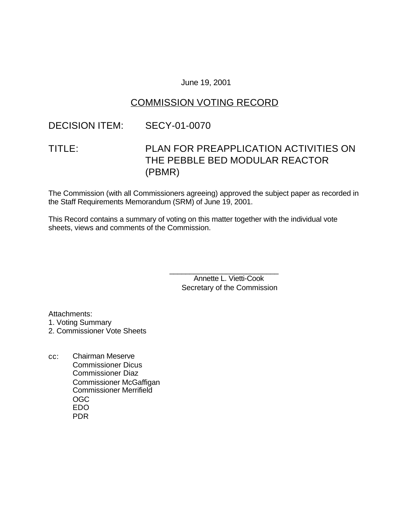### June 19, 2001

### COMMISSION VOTING RECORD

### DECISION ITEM: SECY-01-0070

# TITLE: PLAN FOR PREAPPLICATION ACTIVITIES ON THE PEBBLE BED MODULAR REACTOR (PBMR)

The Commission (with all Commissioners agreeing) approved the subject paper as recorded in the Staff Requirements Memorandum (SRM) of June 19, 2001.

This Record contains a summary of voting on this matter together with the individual vote sheets, views and comments of the Commission.

> \_\_\_\_\_\_\_\_\_\_\_\_\_\_\_\_\_\_\_\_\_\_\_\_\_\_\_ Annette L. Vietti-Cook Secretary of the Commission

Attachments: 1. Voting Summary

2. Commissioner Vote Sheets

cc: Chairman Meserve Commissioner Dicus Commissioner Diaz Commissioner McGaffigan Commissioner Merrifield OGC EDO PDR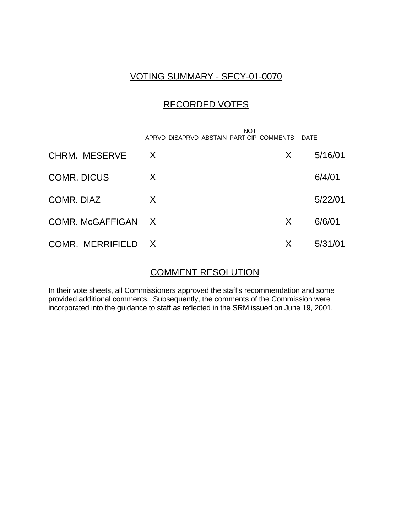### VOTING SUMMARY - SECY-01-0070

### RECORDED VOTES

|                    | <b>NOT</b><br>APRVD DISAPRVD ABSTAIN PARTICIP COMMENTS |   | DATE    |
|--------------------|--------------------------------------------------------|---|---------|
| CHRM. MESERVE      | X                                                      | X | 5/16/01 |
| <b>COMR. DICUS</b> | X                                                      |   | 6/4/01  |
| COMR. DIAZ         | X                                                      |   | 5/22/01 |
| COMR. McGAFFIGAN X |                                                        | X | 6/6/01  |
| COMR. MERRIFIELD X |                                                        | X | 5/31/01 |

## COMMENT RESOLUTION

In their vote sheets, all Commissioners approved the staff's recommendation and some provided additional comments. Subsequently, the comments of the Commission were incorporated into the guidance to staff as reflected in the SRM issued on June 19, 2001.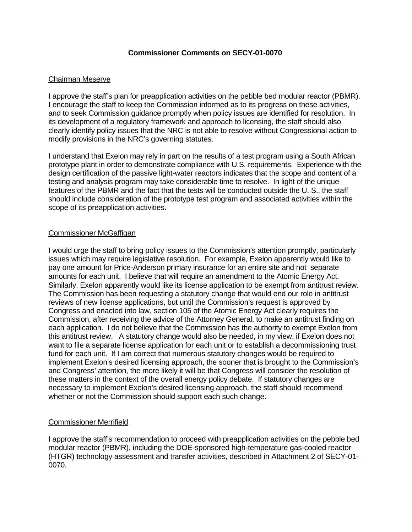#### **Commissioner Comments on SECY-01-0070**

#### Chairman Meserve

I approve the staff's plan for preapplication activities on the pebble bed modular reactor (PBMR). I encourage the staff to keep the Commission informed as to its progress on these activities, and to seek Commission guidance promptly when policy issues are identified for resolution. In its development of a regulatory framework and approach to licensing, the staff should also clearly identify policy issues that the NRC is not able to resolve without Congressional action to modify provisions in the NRC's governing statutes.

I understand that Exelon may rely in part on the results of a test program using a South African prototype plant in order to demonstrate compliance with U.S. requirements. Experience with the design certification of the passive light-water reactors indicates that the scope and content of a testing and analysis program may take considerable time to resolve. In light of the unique features of the PBMR and the fact that the tests will be conducted outside the U. S., the staff should include consideration of the prototype test program and associated activities within the scope of its preapplication activities.

#### Commissioner McGaffigan

I would urge the staff to bring policy issues to the Commission's attention promptly, particularly issues which may require legislative resolution. For example, Exelon apparently would like to pay one amount for Price-Anderson primary insurance for an entire site and not separate amounts for each unit. I believe that will require an amendment to the Atomic Energy Act. Similarly, Exelon apparently would like its license application to be exempt from antitrust review. The Commission has been requesting a statutory change that would end our role in antitrust reviews of new license applications, but until the Commission's request is approved by Congress and enacted into law, section 105 of the Atomic Energy Act clearly requires the Commission, after receiving the advice of the Attorney General, to make an antitrust finding on each application. I do not believe that the Commission has the authority to exempt Exelon from this antitrust review. A statutory change would also be needed, in my view, if Exelon does not want to file a separate license application for each unit or to establish a decommissioning trust fund for each unit. If I am correct that numerous statutory changes would be required to implement Exelon's desired licensing approach, the sooner that is brought to the Commission's and Congress' attention, the more likely it will be that Congress will consider the resolution of these matters in the context of the overall energy policy debate. If statutory changes are necessary to implement Exelon's desired licensing approach, the staff should recommend whether or not the Commission should support each such change.

#### Commissioner Merrifield

I approve the staff's recommendation to proceed with preapplication activities on the pebble bed modular reactor (PBMR), including the DOE-sponsored high-temperature gas-cooled reactor (HTGR) technology assessment and transfer activities, described in Attachment 2 of SECY-01- 0070.